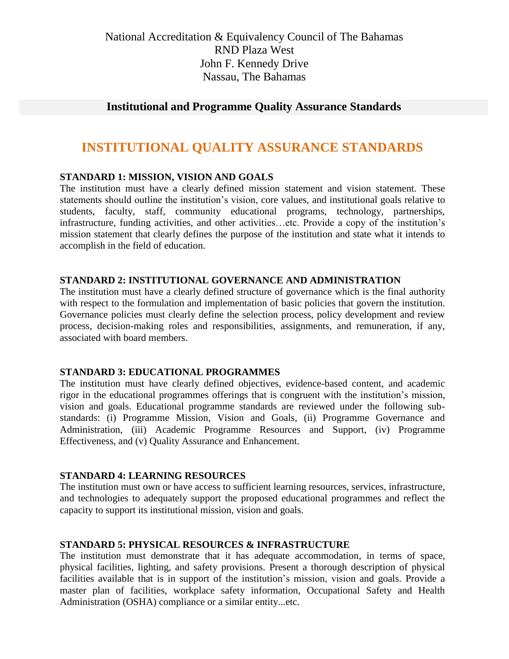National Accreditation & Equivalency Council of The Bahamas RND Plaza West John F. Kennedy Drive Nassau, The Bahamas

# **Institutional and Programme Quality Assurance Standards**

# **INSTITUTIONAL QUALITY ASSURANCE STANDARDS**

## **STANDARD 1: MISSION, VISION AND GOALS**

The institution must have a clearly defined mission statement and vision statement. These statements should outline the institution's vision, core values, and institutional goals relative to students, faculty, staff, community educational programs, technology, partnerships, infrastructure, funding activities, and other activities…etc. Provide a copy of the institution's mission statement that clearly defines the purpose of the institution and state what it intends to accomplish in the field of education.

#### **STANDARD 2: INSTITUTIONAL GOVERNANCE AND ADMINISTRATION**

The institution must have a clearly defined structure of governance which is the final authority with respect to the formulation and implementation of basic policies that govern the institution. Governance policies must clearly define the selection process, policy development and review process, decision-making roles and responsibilities, assignments, and remuneration, if any, associated with board members.

#### **STANDARD 3: EDUCATIONAL PROGRAMMES**

The institution must have clearly defined objectives, evidence-based content, and academic rigor in the educational programmes offerings that is congruent with the institution's mission, vision and goals. Educational programme standards are reviewed under the following substandards: (i) Programme Mission, Vision and Goals, (ii) Programme Governance and Administration, (iii) Academic Programme Resources and Support, (iv) Programme Effectiveness, and (v) Quality Assurance and Enhancement.

#### **STANDARD 4: LEARNING RESOURCES**

The institution must own or have access to sufficient learning resources, services, infrastructure, and technologies to adequately support the proposed educational programmes and reflect the capacity to support its institutional mission, vision and goals.

#### **STANDARD 5: PHYSICAL RESOURCES & INFRASTRUCTURE**

The institution must demonstrate that it has adequate accommodation, in terms of space, physical facilities, lighting, and safety provisions. Present a thorough description of physical facilities available that is in support of the institution's mission, vision and goals. Provide a master plan of facilities, workplace safety information, Occupational Safety and Health Administration (OSHA) compliance or a similar entity...etc.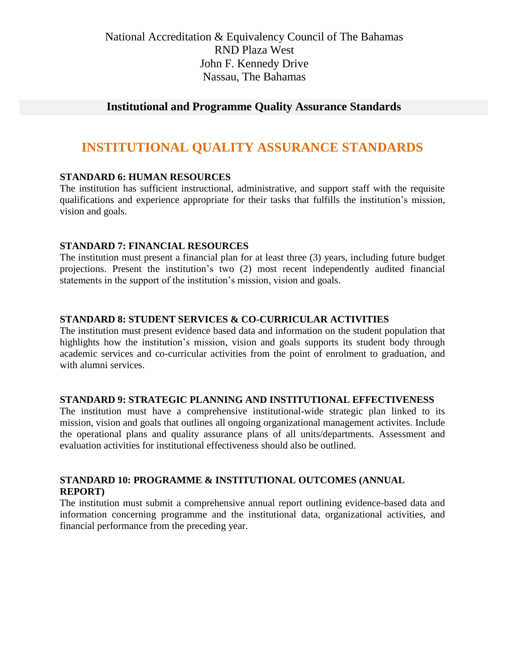National Accreditation & Equivalency Council of The Bahamas RND Plaza West John F. Kennedy Drive Nassau, The Bahamas

# **Institutional and Programme Quality Assurance Standards**

# **INSTITUTIONAL QUALITY ASSURANCE STANDARDS**

# **STANDARD 6: HUMAN RESOURCES**

The institution has sufficient instructional, administrative, and support staff with the requisite qualifications and experience appropriate for their tasks that fulfills the institution's mission, vision and goals.

## **STANDARD 7: FINANCIAL RESOURCES**

The institution must present a financial plan for at least three (3) years, including future budget projections. Present the institution's two (2) most recent independently audited financial statements in the support of the institution's mission, vision and goals.

#### **STANDARD 8: STUDENT SERVICES & CO-CURRICULAR ACTIVITIES**

The institution must present evidence based data and information on the student population that highlights how the institution's mission, vision and goals supports its student body through academic services and co-curricular activities from the point of enrolment to graduation, and with alumni services.

#### **STANDARD 9: STRATEGIC PLANNING AND INSTITUTIONAL EFFECTIVENESS**

The institution must have a comprehensive institutional-wide strategic plan linked to its mission, vision and goals that outlines all ongoing organizational management activites. Include the operational plans and quality assurance plans of all units/departments. Assessment and evaluation activities for institutional effectiveness should also be outlined.

## **STANDARD 10: PROGRAMME & INSTITUTIONAL OUTCOMES (ANNUAL REPORT)**

The institution must submit a comprehensive annual report outlining evidence-based data and information concerning programme and the institutional data, organizational activities, and financial performance from the preceding year.